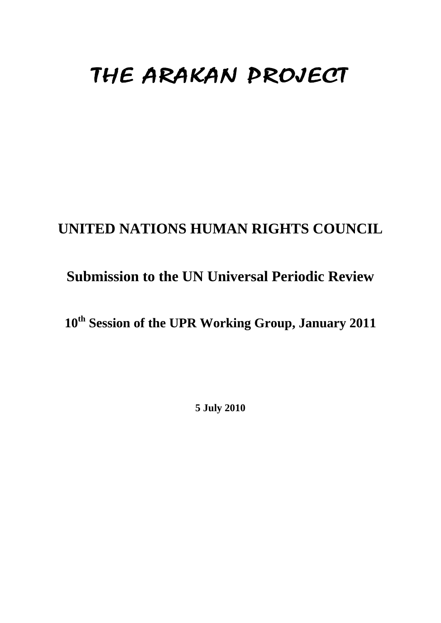# THE ARAKAN PROJECT

### **UNITED NATIONS HUMAN RIGHTS COUNCIL**

### **Submission to the UN Universal Periodic Review**

## **10th Session of the UPR Working Group, January 2011**

**5 July 2010**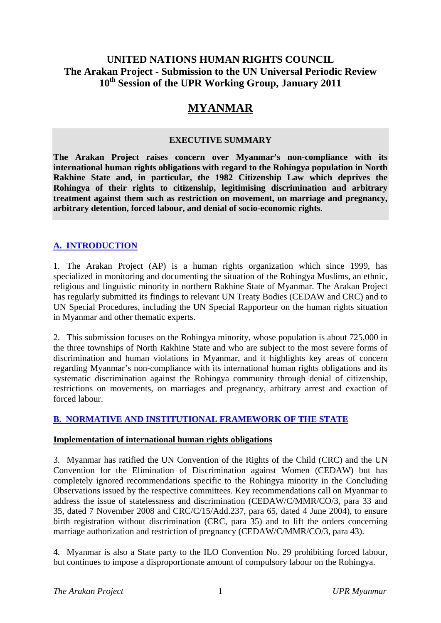#### **UNITED NATIONS HUMAN RIGHTS COUNCIL The Arakan Project - Submission to the UN Universal Periodic Review 10th Session of the UPR Working Group, January 2011**

### **MYANMAR**

#### **EXECUTIVE SUMMARY**

**The Arakan Project raises concern over Myanmar's non-compliance with its international human rights obligations with regard to the Rohingya population in North Rakhine State and, in particular, the 1982 Citizenship Law which deprives the Rohingya of their rights to citizenship, legitimising discrimination and arbitrary treatment against them such as restriction on movement, on marriage and pregnancy, arbitrary detention, forced labour, and denial of socio-economic rights.** 

#### **A. INTRODUCTION**

1. The Arakan Project (AP) is a human rights organization which since 1999, has specialized in monitoring and documenting the situation of the Rohingya Muslims, an ethnic, religious and linguistic minority in northern Rakhine State of Myanmar. The Arakan Project has regularly submitted its findings to relevant UN Treaty Bodies (CEDAW and CRC) and to UN Special Procedures, including the UN Special Rapporteur on the human rights situation in Myanmar and other thematic experts.

2. This submission focuses on the Rohingya minority, whose population is about 725,000 in the three townships of North Rakhine State and who are subject to the most severe forms of discrimination and human violations in Myanmar, and it highlights key areas of concern regarding Myanmar's non-compliance with its international human rights obligations and its systematic discrimination against the Rohingya community through denial of citizenship, restrictions on movements, on marriages and pregnancy, arbitrary arrest and exaction of forced labour.

#### **B. NORMATIVE AND INSTITUTIONAL FRAMEWORK OF THE STATE**

#### **Implementation of international human rights obligations**

3. Myanmar has ratified the UN Convention of the Rights of the Child (CRC) and the UN Convention for the Elimination of Discrimination against Women (CEDAW) but has completely ignored recommendations specific to the Rohingya minority in the Concluding Observations issued by the respective committees. Key recommendations call on Myanmar to address the issue of statelessness and discrimination (CEDAW/C/MMR/CO/3, para 33 and 35, dated 7 November 2008 and CRC/C/15/Add.237, para 65, dated 4 June 2004), to ensure birth registration without discrimination (CRC, para 35) and to lift the orders concerning marriage authorization and restriction of pregnancy (CEDAW/C/MMR/CO/3, para 43).

4. Myanmar is also a State party to the ILO Convention No. 29 prohibiting forced labour, but continues to impose a disproportionate amount of compulsory labour on the Rohingya.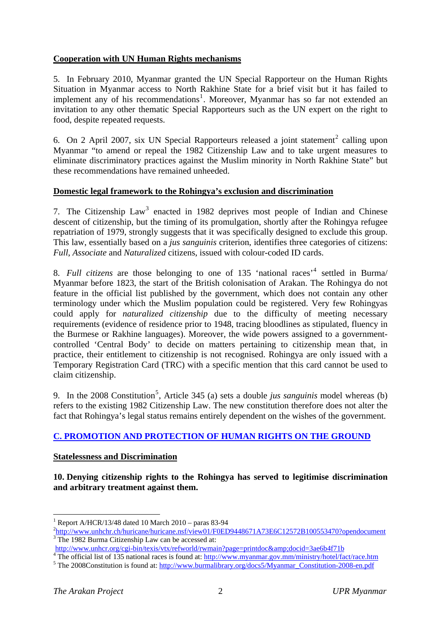#### <span id="page-2-0"></span>**Cooperation with UN Human Rights mechanisms**

5. In February 2010, Myanmar granted the UN Special Rapporteur on the Human Rights Situation in Myanmar access to North Rakhine State for a brief visit but it has failed to implement any of his recommendations<sup>[1](#page-2-0)</sup>. Moreover, Myanmar has so far not extended an invitation to any other thematic Special Rapporteurs such as the UN expert on the right to food, despite repeated requests.

6. On [2](#page-2-0) April 2007, six UN Special Rapporteurs released a joint statement<sup>2</sup> calling upon Myanmar "to amend or repeal the 1982 Citizenship Law and to take urgent measures to eliminate discriminatory practices against the Muslim minority in North Rakhine State" but these recommendations have remained unheeded.

#### **Domestic legal framework to the Rohingya's exclusion and discrimination**

7. The Citizenship Law<sup>[3](#page-2-0)</sup> enacted in 1982 deprives most people of Indian and Chinese descent of citizenship, but the timing of its promulgation, shortly after the Rohingya refugee repatriation of 1979, strongly suggests that it was specifically designed to exclude this group. This law, essentially based on a *jus sanguinis* criterion, identifies three categories of citizens: *Full*, *Associate* and *Naturalized* citizens, issued with colour-coded ID cards.

8. *Full citizens* are those belonging to one of 135 'national races<sup>, [4](#page-2-0)</sup> settled in Burma/ Myanmar before 1823, the start of the British colonisation of Arakan. The Rohingya do not feature in the official list published by the government, which does not contain any other terminology under which the Muslim population could be registered. Very few Rohingyas could apply for *naturalized citizenship* due to the difficulty of meeting necessary requirements (evidence of residence prior to 1948, tracing bloodlines as stipulated, fluency in the Burmese or Rakhine languages). Moreover, the wide powers assigned to a governmentcontrolled 'Central Body' to decide on matters pertaining to citizenship mean that, in practice, their entitlement to citizenship is not recognised. Rohingya are only issued with a Temporary Registration Card (TRC) with a specific mention that this card cannot be used to claim citizenship.

9. In the 2008 Constitution<sup>[5](#page-2-0)</sup>, Article 345 (a) sets a double *jus sanguinis* model whereas (b) refers to the existing 1982 Citizenship Law. The new constitution therefore does not alter the fact that Rohingya's legal status remains entirely dependent on the wishes of the government.

#### **C. PROMOTION AND PROTECTION OF HUMAN RIGHTS ON THE GROUND**

#### **Statelessness and Discrimination**

**10. Denying citizenship rights to the Rohingya has served to legitimise discrimination and arbitrary treatment against them.** 

1

<sup>1</sup> Report A/HCR/13/48 dated 10 March 2010 – paras 83-94

<sup>&</sup>lt;sup>2</sup><http://www.unhchr.ch/huricane/huricane.nsf/view01/F0ED9448671A73E6C12572B100553470?opendocument> <sup>3</sup> The 1982 Burma Citizenship Law can be accessed at:

<http://www.unhcr.org/cgi-bin/texis/vtx/refworld/rwmain?page=printdoc&docid=3ae6b4f71b><br><sup>4</sup> The official list of 135 national regge is found at http://www.muanmar.gov.mm/ministry/hotal/f

<sup>&</sup>lt;sup>4</sup> The official list of 135 national races is found at:  $\frac{http://www.myanmar.gov.mm/ministry/hotel/fact/race.htm}{http://www.hycmallhrcru.org/dosc5/Muennc}$ . Constitution 2008 on ref

<sup>&</sup>lt;sup>5</sup> The 2008Constitution is found at: [http://www.burmalibrary.org/docs5/Myanmar\\_Constitution-2008-en.pdf](http://www.burmalibrary.org/docs5/Myanmar_Constitution-2008-en.pdf)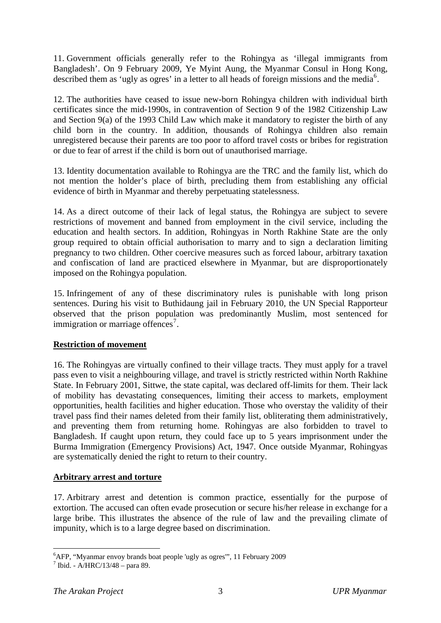<span id="page-3-0"></span>11. Government officials generally refer to the Rohingya as 'illegal immigrants from Bangladesh'. On 9 February 2009, Ye Myint Aung, the Myanmar Consul in Hong Kong, described them as 'ugly as ogres' in a letter to all heads of foreign missions and the media<sup>[6](#page-3-0)</sup>.

12. The authorities have ceased to issue new-born Rohingya children with individual birth certificates since the mid-1990s, in contravention of Section 9 of the 1982 Citizenship Law and Section 9(a) of the 1993 Child Law which make it mandatory to register the birth of any child born in the country. In addition, thousands of Rohingya children also remain unregistered because their parents are too poor to afford travel costs or bribes for registration or due to fear of arrest if the child is born out of unauthorised marriage.

13. Identity documentation available to Rohingya are the TRC and the family list, which do not mention the holder's place of birth, precluding them from establishing any official evidence of birth in Myanmar and thereby perpetuating statelessness.

14. As a direct outcome of their lack of legal status, the Rohingya are subject to severe restrictions of movement and banned from employment in the civil service, including the education and health sectors. In addition, Rohingyas in North Rakhine State are the only group required to obtain official authorisation to marry and to sign a declaration limiting pregnancy to two children. Other coercive measures such as forced labour, arbitrary taxation and confiscation of land are practiced elsewhere in Myanmar, but are disproportionately imposed on the Rohingya population.

15. Infringement of any of these discriminatory rules is punishable with long prison sentences. During his visit to Buthidaung jail in February 2010, the UN Special Rapporteur observed that the prison population was predominantly Muslim, most sentenced for immigration or marriage offences<sup>[7](#page-3-0)</sup>.

#### **Restriction of movement**

16. The Rohingyas are virtually confined to their village tracts. They must apply for a travel pass even to visit a neighbouring village, and travel is strictly restricted within North Rakhine State. In February 2001, Sittwe, the state capital, was declared off-limits for them. Their lack of mobility has devastating consequences, limiting their access to markets, employment opportunities, health facilities and higher education. Those who overstay the validity of their travel pass find their names deleted from their family list, obliterating them administratively, and preventing them from returning home. Rohingyas are also forbidden to travel to Bangladesh. If caught upon return, they could face up to 5 years imprisonment under the Burma Immigration (Emergency Provisions) Act, 1947. Once outside Myanmar, Rohingyas are systematically denied the right to return to their country.

#### **Arbitrary arrest and torture**

17. Arbitrary arrest and detention is common practice, essentially for the purpose of extortion. The accused can often evade prosecution or secure his/her release in exchange for a large bribe. This illustrates the absence of the rule of law and the prevailing climate of impunity, which is to a large degree based on discrimination.

1

<sup>6</sup> AFP, "Myanmar envoy brands boat people 'ugly as ogres'", 11 February 2009

 $^7$  Ibid. - A/HRC/13/48 – para 89.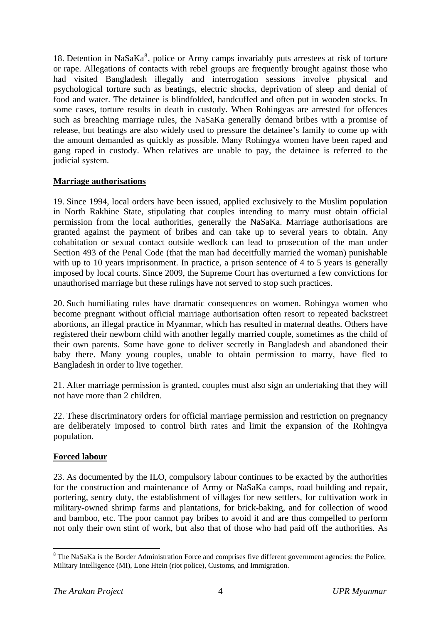<span id="page-4-0"></span>1[8](#page-4-0). Detention in NaSa $Ka^8$ , police or Army camps invariably puts arrestees at risk of torture or rape. Allegations of contacts with rebel groups are frequently brought against those who had visited Bangladesh illegally and interrogation sessions involve physical and psychological torture such as beatings, electric shocks, deprivation of sleep and denial of food and water. The detainee is blindfolded, handcuffed and often put in wooden stocks. In some cases, torture results in death in custody. When Rohingyas are arrested for offences such as breaching marriage rules, the NaSaKa generally demand bribes with a promise of release, but beatings are also widely used to pressure the detainee's family to come up with the amount demanded as quickly as possible. Many Rohingya women have been raped and gang raped in custody. When relatives are unable to pay, the detainee is referred to the judicial system.

#### **Marriage authorisations**

19. Since 1994, local orders have been issued, applied exclusively to the Muslim population in North Rakhine State, stipulating that couples intending to marry must obtain official permission from the local authorities, generally the NaSaKa. Marriage authorisations are granted against the payment of bribes and can take up to several years to obtain. Any cohabitation or sexual contact outside wedlock can lead to prosecution of the man under Section 493 of the Penal Code (that the man had deceitfully married the woman) punishable with up to 10 years imprisonment. In practice, a prison sentence of 4 to 5 years is generally imposed by local courts. Since 2009, the Supreme Court has overturned a few convictions for unauthorised marriage but these rulings have not served to stop such practices.

20. Such humiliating rules have dramatic consequences on women. Rohingya women who become pregnant without official marriage authorisation often resort to repeated backstreet abortions, an illegal practice in Myanmar, which has resulted in maternal deaths. Others have registered their newborn child with another legally married couple, sometimes as the child of their own parents. Some have gone to deliver secretly in Bangladesh and abandoned their baby there. Many young couples, unable to obtain permission to marry, have fled to Bangladesh in order to live together.

21. After marriage permission is granted, couples must also sign an undertaking that they will not have more than 2 children.

22. These discriminatory orders for official marriage permission and restriction on pregnancy are deliberately imposed to control birth rates and limit the expansion of the Rohingya population.

#### **Forced labour**

23. As documented by the ILO, compulsory labour continues to be exacted by the authorities for the construction and maintenance of Army or NaSaKa camps, road building and repair, portering, sentry duty, the establishment of villages for new settlers, for cultivation work in military-owned shrimp farms and plantations, for brick-baking, and for collection of wood and bamboo, etc. The poor cannot pay bribes to avoid it and are thus compelled to perform not only their own stint of work, but also that of those who had paid off the authorities. As

<sup>1</sup> <sup>8</sup> The NaSaKa is the Border Administration Force and comprises five different government agencies: the Police, Military Intelligence (MI), Lone Htein (riot police), Customs, and Immigration.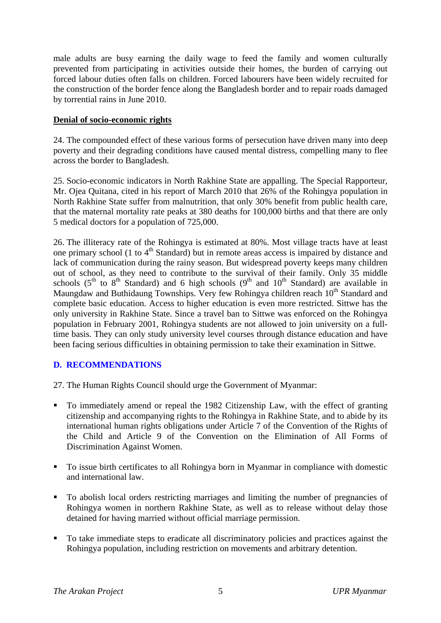male adults are busy earning the daily wage to feed the family and women culturally prevented from participating in activities outside their homes, the burden of carrying out forced labour duties often falls on children. Forced labourers have been widely recruited for the construction of the border fence along the Bangladesh border and to repair roads damaged by torrential rains in June 2010.

#### **Denial of socio-economic rights**

24. The compounded effect of these various forms of persecution have driven many into deep poverty and their degrading conditions have caused mental distress, compelling many to flee across the border to Bangladesh.

25. Socio-economic indicators in North Rakhine State are appalling. The Special Rapporteur, Mr. Ojea Quitana, cited in his report of March 2010 that 26% of the Rohingya population in North Rakhine State suffer from malnutrition, that only 30% benefit from public health care, that the maternal mortality rate peaks at 380 deaths for 100,000 births and that there are only 5 medical doctors for a population of 725,000.

26. The illiteracy rate of the Rohingya is estimated at 80%. Most village tracts have at least one primary school (1 to  $4<sup>th</sup>$  Standard) but in remote areas access is impaired by distance and lack of communication during the rainy season. But widespread poverty keeps many children out of school, as they need to contribute to the survival of their family. Only 35 middle schools  $(5<sup>th</sup>$  to  $8<sup>th</sup>$  Standard) and 6 high schools  $(9<sup>th</sup>$  and  $10<sup>th</sup>$  Standard) are available in Maungdaw and Buthidaung Townships. Very few Rohingya children reach 10<sup>th</sup> Standard and complete basic education. Access to higher education is even more restricted. Sittwe has the only university in Rakhine State. Since a travel ban to Sittwe was enforced on the Rohingya population in February 2001, Rohingya students are not allowed to join university on a fulltime basis. They can only study university level courses through distance education and have been facing serious difficulties in obtaining permission to take their examination in Sittwe.

#### **D. RECOMMENDATIONS**

27. The Human Rights Council should urge the Government of Myanmar:

- To immediately amend or repeal the 1982 Citizenship Law, with the effect of granting citizenship and accompanying rights to the Rohingya in Rakhine State, and to abide by its international human rights obligations under Article 7 of the Convention of the Rights of the Child and Article 9 of the Convention on the Elimination of All Forms of Discrimination Against Women.
- To issue birth certificates to all Rohingya born in Myanmar in compliance with domestic and international law.
- To abolish local orders restricting marriages and limiting the number of pregnancies of Rohingya women in northern Rakhine State, as well as to release without delay those detained for having married without official marriage permission.
- To take immediate steps to eradicate all discriminatory policies and practices against the Rohingya population, including restriction on movements and arbitrary detention.